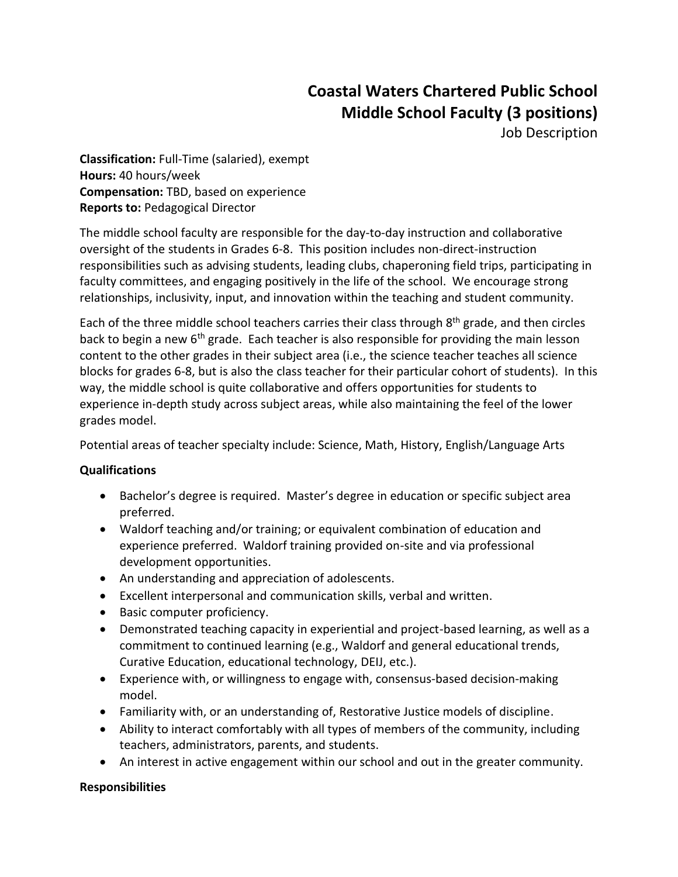## **Coastal Waters Chartered Public School Middle School Faculty (3 positions)**

Job Description

**Classification:** Full-Time (salaried), exempt **Hours:** 40 hours/week **Compensation:** TBD, based on experience **Reports to:** Pedagogical Director

The middle school faculty are responsible for the day-to-day instruction and collaborative oversight of the students in Grades 6-8. This position includes non-direct-instruction responsibilities such as advising students, leading clubs, chaperoning field trips, participating in faculty committees, and engaging positively in the life of the school. We encourage strong relationships, inclusivity, input, and innovation within the teaching and student community.

Each of the three middle school teachers carries their class through 8<sup>th</sup> grade, and then circles back to begin a new 6<sup>th</sup> grade. Each teacher is also responsible for providing the main lesson content to the other grades in their subject area (i.e., the science teacher teaches all science blocks for grades 6-8, but is also the class teacher for their particular cohort of students). In this way, the middle school is quite collaborative and offers opportunities for students to experience in-depth study across subject areas, while also maintaining the feel of the lower grades model.

Potential areas of teacher specialty include: Science, Math, History, English/Language Arts

## **Qualifications**

- Bachelor's degree is required. Master's degree in education or specific subject area preferred.
- Waldorf teaching and/or training; or equivalent combination of education and experience preferred. Waldorf training provided on-site and via professional development opportunities.
- An understanding and appreciation of adolescents.
- Excellent interpersonal and communication skills, verbal and written.
- Basic computer proficiency.
- Demonstrated teaching capacity in experiential and project-based learning, as well as a commitment to continued learning (e.g., Waldorf and general educational trends, Curative Education, educational technology, DEIJ, etc.).
- Experience with, or willingness to engage with, consensus-based decision-making model.
- Familiarity with, or an understanding of, Restorative Justice models of discipline.
- Ability to interact comfortably with all types of members of the community, including teachers, administrators, parents, and students.
- An interest in active engagement within our school and out in the greater community.

## **Responsibilities**